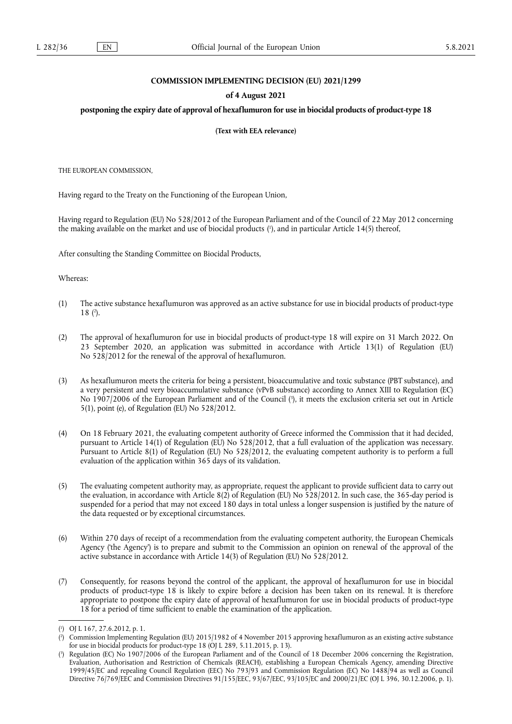## **COMMISSION IMPLEMENTING DECISION (EU) 2021/1299**

## **of 4 August 2021**

### **postponing the expiry date of approval of hexaflumuron for use in biocidal products of product-type 18**

**(Text with EEA relevance)** 

THE EUROPEAN COMMISSION,

Having regard to the Treaty on the Functioning of the European Union,

<span id="page-0-3"></span>Having regard to Regulation (EU) No 528/2012 of the European Parliament and of the Council of 22 May 2012 concerning the making available on the market and use of biocidal products [\(](#page-0-0) 1 ), and in particular Article 14(5) thereof,

After consulting the Standing Committee on Biocidal Products,

Whereas:

- <span id="page-0-4"></span>(1) The active substance hexaflumuron was approved as an active substance for use in biocidal products of product-type  $18$  [\(](#page-0-1)2).
- (2) The approval of hexaflumuron for use in biocidal products of product-type 18 will expire on 31 March 2022. On 23 September 2020, an application was submitted in accordance with Article 13(1) of Regulation (EU) No 528/2012 for the renewal of the approval of hexaflumuron.
- <span id="page-0-5"></span>(3) As hexaflumuron meets the criteria for being a persistent, bioaccumulative and toxic substance (PBT substance), and a very persistent and very bioaccumulative substance (vPvB substance) according to Annex XIII to Regulation (EC) No 1907/2006 of the European Parliament and of the Council [\(](#page-0-2) 3 ), it meets the exclusion criteria set out in Article 5(1), point (e), of Regulation (EU) No 528/2012.
- (4) On 18 February 2021, the evaluating competent authority of Greece informed the Commission that it had decided, pursuant to Article 14(1) of Regulation (EU) No 528/2012, that a full evaluation of the application was necessary. Pursuant to Article 8(1) of Regulation (EU) No 528/2012, the evaluating competent authority is to perform a full evaluation of the application within 365 days of its validation.
- (5) The evaluating competent authority may, as appropriate, request the applicant to provide sufficient data to carry out the evaluation, in accordance with Article 8(2) of Regulation (EU) No 528/2012. In such case, the 365-day period is suspended for a period that may not exceed 180 days in total unless a longer suspension is justified by the nature of the data requested or by exceptional circumstances.
- (6) Within 270 days of receipt of a recommendation from the evaluating competent authority, the European Chemicals Agency ('the Agency') is to prepare and submit to the Commission an opinion on renewal of the approval of the active substance in accordance with Article 14(3) of Regulation (EU) No 528/2012.
- (7) Consequently, for reasons beyond the control of the applicant, the approval of hexaflumuron for use in biocidal products of product-type 18 is likely to expire before a decision has been taken on its renewal. It is therefore appropriate to postpone the expiry date of approval of hexaflumuron for use in biocidal products of product-type 18 for a period of time sufficient to enable the examination of the application.

<span id="page-0-0"></span>[<sup>\(</sup>](#page-0-3) 1 ) OJ L 167, 27.6.2012, p. 1.

<span id="page-0-1"></span>[<sup>\(</sup>](#page-0-4) 2 ) Commission Implementing Regulation (EU) 2015/1982 of 4 November 2015 approving hexaflumuron as an existing active substance for use in biocidal products for product-type 18 (OJ L 289, 5.11.2015, p. 13).

<span id="page-0-2"></span>[<sup>\(</sup>](#page-0-5) 3 ) Regulation (EC) No 1907/2006 of the European Parliament and of the Council of 18 December 2006 concerning the Registration, Evaluation, Authorisation and Restriction of Chemicals (REACH), establishing a European Chemicals Agency, amending Directive 1999/45/EC and repealing Council Regulation (EEC) No 793/93 and Commission Regulation (EC) No 1488/94 as well as Council Directive 76/769/EEC and Commission Directives 91/155/EEC, 93/67/EEC, 93/105/EC and 2000/21/EC (OJ L 396, 30.12.2006, p. 1).